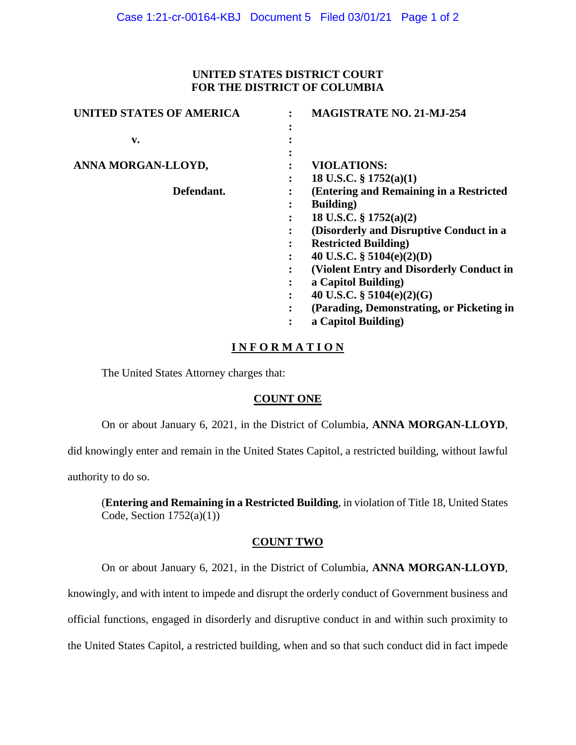## **UNITED STATES DISTRICT COURT FOR THE DISTRICT OF COLUMBIA**

| <b>UNITED STATES OF AMERICA</b> | <b>MAGISTRATE NO. 21-MJ-254</b>           |
|---------------------------------|-------------------------------------------|
|                                 |                                           |
| v.                              |                                           |
| ANNA MORGAN-LLOYD,              | <b>VIOLATIONS:</b>                        |
|                                 |                                           |
|                                 | 18 U.S.C. $\S$ 1752(a)(1)                 |
| Defendant.                      | (Entering and Remaining in a Restricted   |
|                                 | <b>Building</b> )<br>٠                    |
|                                 | 18 U.S.C. § 1752(a)(2)                    |
|                                 | (Disorderly and Disruptive Conduct in a   |
|                                 | <b>Restricted Building</b> )              |
|                                 | 40 U.S.C. $\S$ 5104(e)(2)(D)              |
|                                 | (Violent Entry and Disorderly Conduct in  |
|                                 | a Capitol Building)                       |
|                                 | 40 U.S.C. $\S$ 5104(e)(2)(G)              |
|                                 | (Parading, Demonstrating, or Picketing in |
|                                 | a Capitol Building)                       |
|                                 |                                           |

# **I N F O R M A T I O N**

The United States Attorney charges that:

## **COUNT ONE**

On or about January 6, 2021, in the District of Columbia, **ANNA MORGAN-LLOYD**,

did knowingly enter and remain in the United States Capitol, a restricted building, without lawful

authority to do so.

(**Entering and Remaining in a Restricted Building**, in violation of Title 18, United States Code, Section  $1752(a)(1)$ )

## **COUNT TWO**

On or about January 6, 2021, in the District of Columbia, **ANNA MORGAN-LLOYD**,

knowingly, and with intent to impede and disrupt the orderly conduct of Government business and

official functions, engaged in disorderly and disruptive conduct in and within such proximity to

the United States Capitol, a restricted building, when and so that such conduct did in fact impede